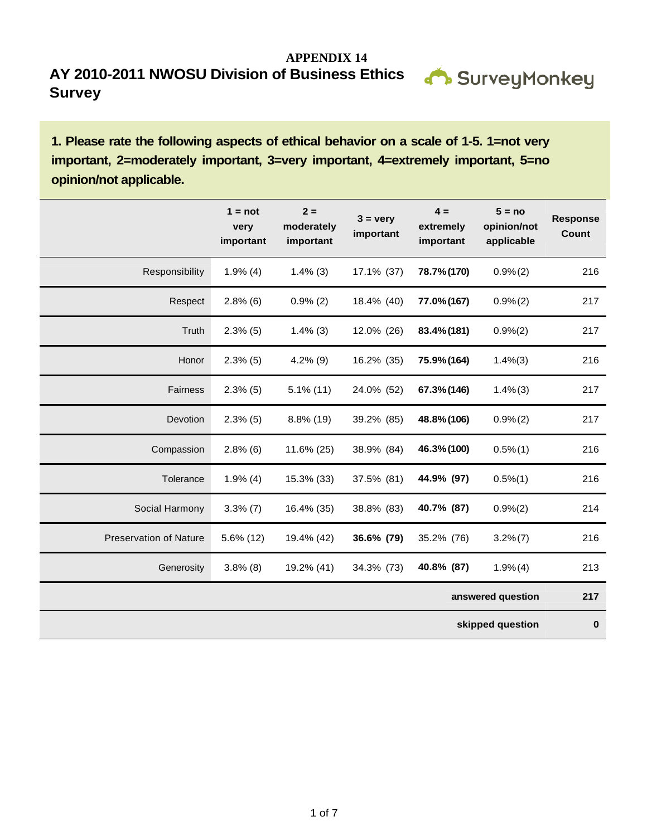

**1. Please rate the following aspects of ethical behavior on a scale of 1-5. 1=not very important, 2=moderately important, 3=very important, 4=extremely important, 5=no opinion/not applicable.** 

|                               | $1 = not$<br>very<br>important | $2 =$<br>moderately<br>important | $3 = \text{very}$<br>important | $4 =$<br>extremely<br>important | $5 = no$<br>opinion/not<br>applicable | <b>Response</b><br>Count |
|-------------------------------|--------------------------------|----------------------------------|--------------------------------|---------------------------------|---------------------------------------|--------------------------|
| Responsibility                | $1.9\%$ (4)                    | $1.4\%$ (3)                      | 17.1% (37)                     | 78.7% (170)                     | 0.9%(2)                               | 216                      |
| Respect                       | $2.8\%$ (6)                    | $0.9\%$ (2)                      | 18.4% (40)                     | 77.0% (167)                     | 0.9%(2)                               | 217                      |
| Truth                         | 2.3%(5)                        | $1.4\%$ (3)                      | 12.0% (26)                     | 83.4% (181)                     | 0.9%(2)                               | 217                      |
| Honor                         | $2.3\%$ (5)                    | $4.2\%$ (9)                      | 16.2% (35)                     | 75.9% (164)                     | 1.4%(3)                               | 216                      |
| Fairness                      | $2.3\%$ (5)                    | $5.1\%$ (11)                     | 24.0% (52)                     | 67.3% (146)                     | $1.4\%$ $(3)$                         | 217                      |
| Devotion                      | 2.3%(5)                        | 8.8% (19)                        | 39.2% (85)                     | 48.8% (106)                     | 0.9%(2)                               | 217                      |
| Compassion                    | $2.8\%$ (6)                    | 11.6% (25)                       | 38.9% (84)                     | 46.3% (100)                     | $0.5\%(1)$                            | 216                      |
| Tolerance                     | $1.9\%$ (4)                    | 15.3% (33)                       | 37.5% (81)                     | 44.9% (97)                      | $0.5\%(1)$                            | 216                      |
| Social Harmony                | $3.3\%$ (7)                    | 16.4% (35)                       | 38.8% (83)                     | 40.7% (87)                      | 0.9%(2)                               | 214                      |
| <b>Preservation of Nature</b> | 5.6% (12)                      | 19.4% (42)                       | 36.6% (79)                     | 35.2% (76)                      | $3.2\% (7)$                           | 216                      |
| Generosity                    | $3.8\%$ (8)                    | 19.2% (41)                       | 34.3% (73)                     | 40.8% (87)                      | 1.9%(4)                               | 213                      |
|                               |                                |                                  |                                |                                 | answered question                     | 217                      |
|                               |                                |                                  |                                |                                 | skipped question                      | $\bf{0}$                 |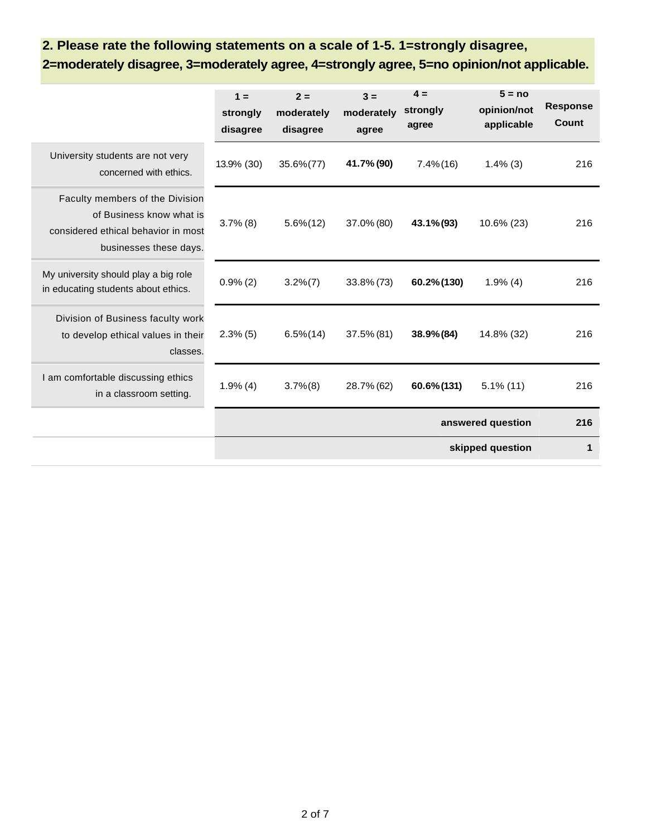## **2. Please rate the following statements on a scale of 1-5. 1=strongly disagree,**

**2=moderately disagree, 3=moderately agree, 4=strongly agree, 5=no opinion/not applicable.** 

|                                                                                                                              | $1 =$<br>strongly<br>disagree | $2 =$<br>moderately<br>disagree | $3 =$<br>moderately<br>agree | $4 =$<br>strongly<br>agree | $5 = no$<br>opinion/not<br>applicable | <b>Response</b><br>Count |
|------------------------------------------------------------------------------------------------------------------------------|-------------------------------|---------------------------------|------------------------------|----------------------------|---------------------------------------|--------------------------|
| University students are not very<br>concerned with ethics.                                                                   | 13.9% (30)                    | 35.6%(77)                       | 41.7% (90)                   | $7.4\%$ (16)               | $1.4\%$ (3)                           | 216                      |
| Faculty members of the Division<br>of Business know what is<br>considered ethical behavior in most<br>businesses these days. | $3.7\%$ (8)                   | $5.6\% (12)$                    | 37.0% (80)                   | 43.1% (93)                 | 10.6% (23)                            | 216                      |
| My university should play a big role<br>in educating students about ethics.                                                  | $0.9\% (2)$                   | $3.2\%$ $(7)$                   | $33.8\% (73)$                | 60.2% (130)                | $1.9\%$ (4)                           | 216                      |
| Division of Business faculty work<br>to develop ethical values in their<br>classes.                                          | $2.3\%$ (5)                   | $6.5\% (14)$                    | 37.5% (81)                   | 38.9% (84)                 | 14.8% (32)                            | 216                      |
| I am comfortable discussing ethics<br>in a classroom setting.                                                                | $1.9\%$ (4)                   | $3.7\%$ $(8)$                   | 28.7% (62)                   | 60.6% (131)                | $5.1\%$ (11)                          | 216                      |
|                                                                                                                              |                               |                                 |                              |                            | answered question                     | 216                      |
|                                                                                                                              |                               |                                 |                              |                            | skipped question                      | 1                        |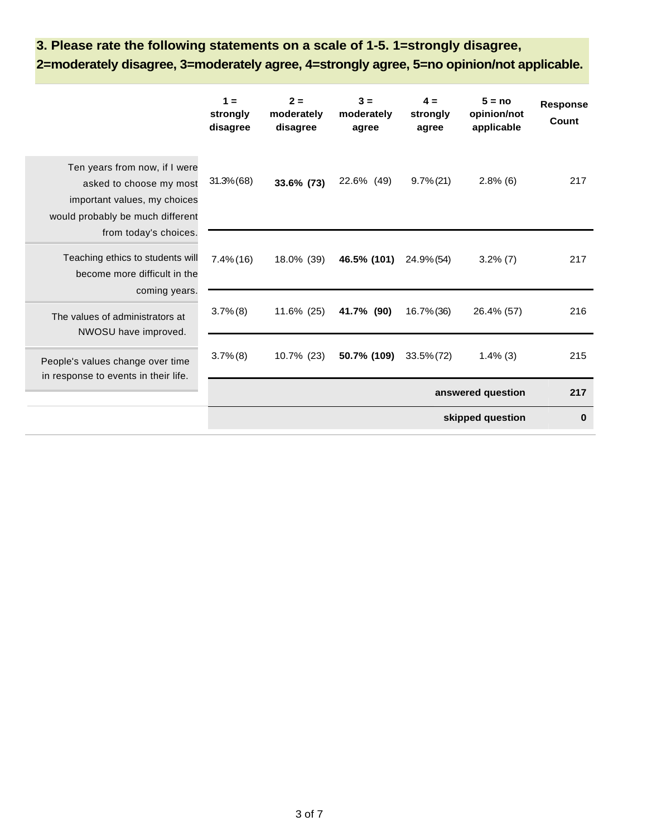## **3. Please rate the following statements on a scale of 1-5. 1=strongly disagree, 2=moderately disagree, 3=moderately agree, 4=strongly agree, 5=no opinion/not applicable.**

|                                                                                                                                                       | $1 =$<br>strongly<br>disagree | $2 =$<br>moderately<br>disagree | $3 =$<br>moderately<br>agree | $4 =$<br>strongly<br>agree | $5 = no$<br>opinion/not<br>applicable | <b>Response</b><br>Count |
|-------------------------------------------------------------------------------------------------------------------------------------------------------|-------------------------------|---------------------------------|------------------------------|----------------------------|---------------------------------------|--------------------------|
| Ten years from now, if I were<br>asked to choose my most<br>important values, my choices<br>would probably be much different<br>from today's choices. | $31.3\% (68)$                 | 33.6% (73)                      | 22.6% (49)                   | $9.7\% (21)$               | $2.8\%$ (6)                           | 217                      |
| Teaching ethics to students will<br>become more difficult in the                                                                                      | $7.4\%$ (16)                  | 18.0% (39)                      | 46.5% (101)                  | 24.9% (54)                 | $3.2\%$ (7)                           | 217                      |
| coming years.<br>The values of administrators at<br>NWOSU have improved.                                                                              | $3.7\%$ $(8)$                 | 11.6% (25)                      | 41.7% (90)                   | 16.7% (36)                 | 26.4% (57)                            | 216                      |
| People's values change over time<br>in response to events in their life.                                                                              | $3.7\%$ $(8)$                 | 10.7% (23)                      | 50.7% (109)                  | $33.5\% (72)$              | $1.4\%$ (3)                           | 215                      |
|                                                                                                                                                       |                               |                                 |                              |                            | answered question                     | 217                      |
|                                                                                                                                                       |                               |                                 |                              |                            | skipped question                      | $\bf{0}$                 |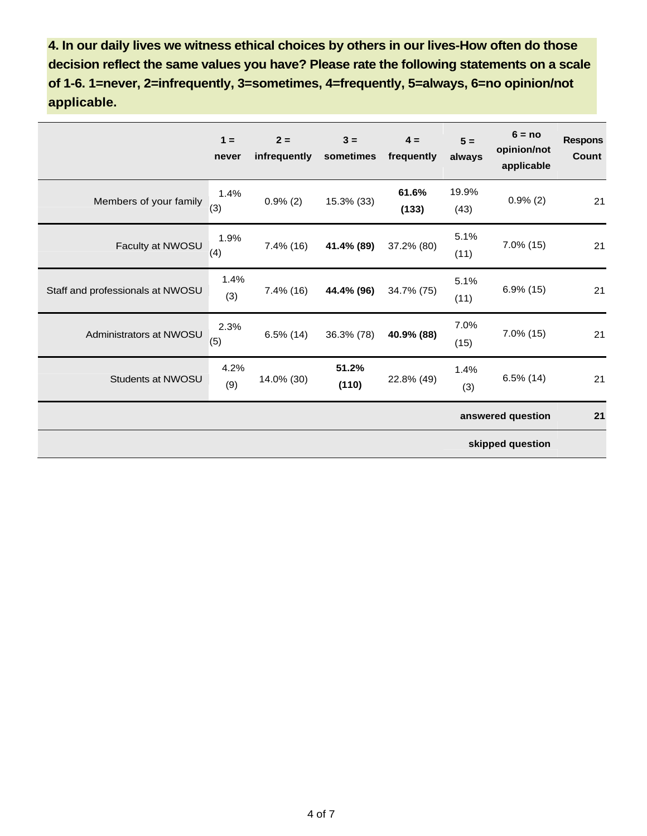**4. In our daily lives we witness ethical choices by others in our lives-How often do those decision reflect the same values you have? Please rate the following statements on a scale of 1-6. 1=never, 2=infrequently, 3=sometimes, 4=frequently, 5=always, 6=no opinion/not applicable.** 

|                                  | $1 =$<br>never    | $2 =$<br>infrequently | $3 =$<br>sometimes | $4 =$<br>frequently | $5 =$<br>always | $6 = no$<br>opinion/not<br>applicable | <b>Respons</b><br>Count |
|----------------------------------|-------------------|-----------------------|--------------------|---------------------|-----------------|---------------------------------------|-------------------------|
| Members of your family           | 1.4%<br>(3)       | $0.9\%$ (2)           | 15.3% (33)         | 61.6%<br>(133)      | 19.9%<br>(43)   | $0.9\%$ (2)                           | 21                      |
| Faculty at NWOSU                 | 1.9%<br>(4)       | $7.4\%$ (16)          | 41.4% (89)         | 37.2% (80)          | 5.1%<br>(11)    | $7.0\%$ (15)                          | 21                      |
| Staff and professionals at NWOSU | 1.4%<br>(3)       | 7.4% (16)             | 44.4% (96)         | 34.7% (75)          | 5.1%<br>(11)    | $6.9\%$ (15)                          | 21                      |
| Administrators at NWOSU          | 2.3%<br>(5)       | $6.5\%$ (14)          | 36.3% (78)         | 40.9% (88)          | 7.0%<br>(15)    | $7.0\%$ (15)                          | 21                      |
| Students at NWOSU                | 4.2%<br>(9)       | 14.0% (30)            | 51.2%<br>(110)     | 22.8% (49)          | 1.4%<br>(3)     | $6.5\%$ (14)                          | 21                      |
|                                  | answered question |                       |                    |                     |                 | 21                                    |                         |
| skipped question                 |                   |                       |                    |                     |                 |                                       |                         |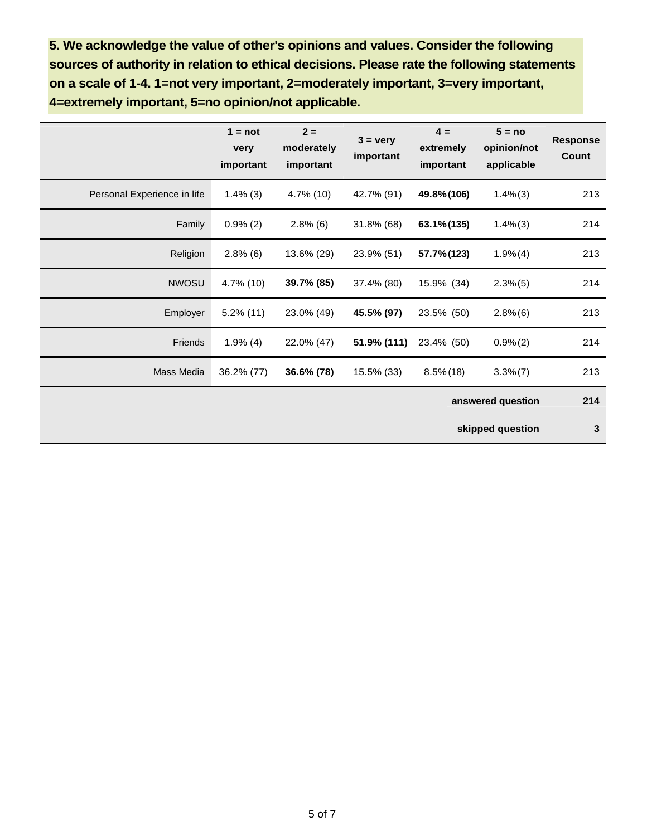**5. We acknowledge the value of other's opinions and values. Consider the following sources of authority in relation to ethical decisions. Please rate the following statements on a scale of 1-4. 1=not very important, 2=moderately important, 3=very important, 4=extremely important, 5=no opinion/not applicable.** 

|                             | $1 = not$<br>very<br>important | $2 =$<br>moderately<br>important | $3 = \text{very}$<br>important | $4 =$<br>extremely<br>important | $5 = no$<br>opinion/not<br>applicable | <b>Response</b><br>Count |
|-----------------------------|--------------------------------|----------------------------------|--------------------------------|---------------------------------|---------------------------------------|--------------------------|
| Personal Experience in life | $1.4\%$ (3)                    | $4.7\%$ (10)                     | 42.7% (91)                     | 49.8% (106)                     | $1.4\%$ (3)                           | 213                      |
| Family                      | $0.9\%$ (2)                    | $2.8\%$ (6)                      | $31.8\%$ (68)                  | 63.1% (135)                     | $1.4\%$ (3)                           | 214                      |
| Religion                    | $2.8\%$ (6)                    | 13.6% (29)                       | 23.9% (51)                     | 57.7% (123)                     | 1.9%(4)                               | 213                      |
| <b>NWOSU</b>                | 4.7% (10)                      | 39.7% (85)                       | 37.4% (80)                     | 15.9% (34)                      | $2.3\%$ (5)                           | 214                      |
| Employer                    | $5.2\%$ (11)                   | 23.0% (49)                       | 45.5% (97)                     | 23.5% (50)                      | $2.8\%$ (6)                           | 213                      |
| Friends                     | $1.9\%$ (4)                    | 22.0% (47)                       | 51.9% (111)                    | 23.4% (50)                      | $0.9\%(2)$                            | 214                      |
| Mass Media                  | 36.2% (77)                     | 36.6% (78)                       | 15.5% (33)                     | $8.5\%$ (18)                    | $3.3\%$ $(7)$                         | 213                      |
|                             |                                |                                  |                                |                                 | answered question                     | 214                      |
|                             |                                |                                  |                                |                                 | skipped question                      | 3                        |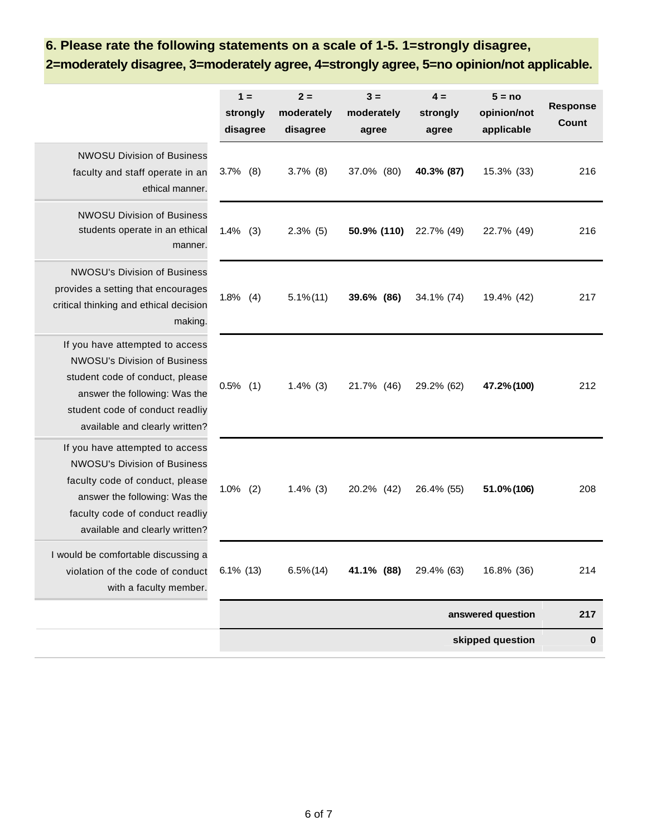## **6. Please rate the following statements on a scale of 1-5. 1=strongly disagree,**

**2=moderately disagree, 3=moderately agree, 4=strongly agree, 5=no opinion/not applicable.** 

|                                                                                                                                                                                                                 | $1 =$<br>strongly<br>disagree | $2 =$<br>moderately<br>disagree | $3 =$<br>moderately<br>agree | $4 =$<br>strongly<br>agree | $5 = no$<br>opinion/not<br>applicable | <b>Response</b><br><b>Count</b> |
|-----------------------------------------------------------------------------------------------------------------------------------------------------------------------------------------------------------------|-------------------------------|---------------------------------|------------------------------|----------------------------|---------------------------------------|---------------------------------|
| <b>NWOSU Division of Business</b><br>faculty and staff operate in an<br>ethical manner.                                                                                                                         | $3.7\%$ (8)                   | $3.7\%$ (8)                     | 37.0% (80)                   | 40.3% (87)                 | 15.3% (33)                            | 216                             |
| <b>NWOSU Division of Business</b><br>students operate in an ethical<br>manner.                                                                                                                                  | 1.4%<br>(3)                   | $2.3\%$ (5)                     | 50.9% (110)                  | 22.7% (49)                 | 22.7% (49)                            | 216                             |
| <b>NWOSU's Division of Business</b><br>provides a setting that encourages<br>critical thinking and ethical decision<br>making.                                                                                  | $1.8\%$ (4)                   | $5.1\% (11)$                    | 39.6% (86)                   | 34.1% (74)                 | 19.4% (42)                            | 217                             |
| If you have attempted to access<br><b>NWOSU's Division of Business</b><br>student code of conduct, please<br>answer the following: Was the<br>student code of conduct readliy<br>available and clearly written? | $0.5\%$ (1)                   | $1.4\%$ (3)                     | 21.7% (46)                   | 29.2% (62)                 | 47.2% (100)                           | 212                             |
| If you have attempted to access<br><b>NWOSU's Division of Business</b><br>faculty code of conduct, please<br>answer the following: Was the<br>faculty code of conduct readliy<br>available and clearly written? | 1.0%<br>(2)                   | $1.4\%$ (3)                     | 20.2% (42)                   | 26.4% (55)                 | 51.0% (106)                           | 208                             |
| I would be comfortable discussing a<br>violation of the code of conduct<br>with a faculty member.                                                                                                               | $6.1\%$ (13)                  | $6.5\%$ (14)                    | 41.1% (88)                   | 29.4% (63)                 | 16.8% (36)                            | 214                             |
|                                                                                                                                                                                                                 |                               |                                 |                              |                            | answered question                     | 217                             |
|                                                                                                                                                                                                                 |                               |                                 |                              |                            | skipped question                      | $\bf{0}$                        |